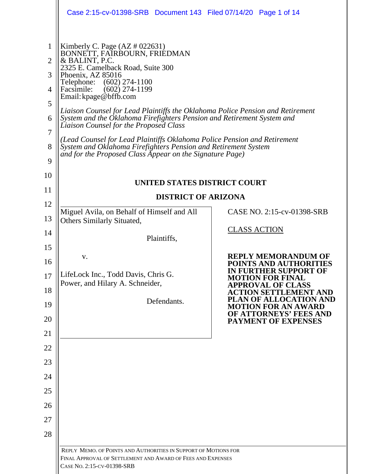|                                                                         | Case 2:15-cv-01398-SRB  Document 143  Filed 07/14/20  Page 1 of 14                                                                                                                                                                                                                                                                                                                                                                                                                                                                                                                                                                                                                         |                                                                                                                                                                                                                       |
|-------------------------------------------------------------------------|--------------------------------------------------------------------------------------------------------------------------------------------------------------------------------------------------------------------------------------------------------------------------------------------------------------------------------------------------------------------------------------------------------------------------------------------------------------------------------------------------------------------------------------------------------------------------------------------------------------------------------------------------------------------------------------------|-----------------------------------------------------------------------------------------------------------------------------------------------------------------------------------------------------------------------|
| $\mathbf{1}$<br>$\overline{2}$<br>3<br>4<br>5<br>6<br>7<br>8<br>9<br>10 | Kimberly C. Page $(AZ \# 022631)$<br>BONNETT, FAIRBOURN, FRIEDMAN<br>& BALINT, P.C.<br>2325 E. Camelback Road, Suite 300<br>Phoenix, AZ 85016<br>$(602)$ 274-1100<br>Telephone:<br>$(602)$ 274-1199<br>Facsimile:<br>Email: kpage@bffb.com<br>Liaison Counsel for Lead Plaintiffs the Oklahoma Police Pension and Retirement<br>System and the Öklahoma Firefighters Pension and Retirement System and<br>Liaison Counsel for the Proposed Class<br>(Lead Counsel for Lead Plaintiffs Oklahoma Police Pension and Retirement<br>System and Oklahoma Firefighters Pension and Retirement System<br>and for the Proposed Class Appear on the Signature Page)<br>UNITED STATES DISTRICT COURT |                                                                                                                                                                                                                       |
| 11                                                                      | <b>DISTRICT OF ARIZONA</b>                                                                                                                                                                                                                                                                                                                                                                                                                                                                                                                                                                                                                                                                 |                                                                                                                                                                                                                       |
| 12                                                                      | Miguel Avila, on Behalf of Himself and All                                                                                                                                                                                                                                                                                                                                                                                                                                                                                                                                                                                                                                                 | CASE NO. 2:15-cv-01398-SRB                                                                                                                                                                                            |
| 13                                                                      | <b>Others Similarly Situated,</b>                                                                                                                                                                                                                                                                                                                                                                                                                                                                                                                                                                                                                                                          | <b>CLASS ACTION</b>                                                                                                                                                                                                   |
| 14                                                                      | Plaintiffs,                                                                                                                                                                                                                                                                                                                                                                                                                                                                                                                                                                                                                                                                                |                                                                                                                                                                                                                       |
| 15<br>16<br>17<br>18<br>19                                              | V.<br>LifeLock Inc., Todd Davis, Chris G.<br>Power, and Hilary A. Schneider,<br>Defendants.                                                                                                                                                                                                                                                                                                                                                                                                                                                                                                                                                                                                | <b>REPLY MEMORANDUM OF</b><br>POINTS AND AUTHORITIES<br>IN FURTHER SUPPORT OF<br><b>MOTION FOR FINAL</b><br><b>APPROVAL OF CLASS</b><br>ACTION SETTLEMENT AND<br>PLAN OF ALLOCATION AND<br><b>MOTION FOR AN AWARD</b> |
| 20                                                                      |                                                                                                                                                                                                                                                                                                                                                                                                                                                                                                                                                                                                                                                                                            | OF ATTORNEYS' FEES AND<br><b>PAYMENT OF EXPENSES</b>                                                                                                                                                                  |
| 21                                                                      |                                                                                                                                                                                                                                                                                                                                                                                                                                                                                                                                                                                                                                                                                            |                                                                                                                                                                                                                       |
| 22                                                                      |                                                                                                                                                                                                                                                                                                                                                                                                                                                                                                                                                                                                                                                                                            |                                                                                                                                                                                                                       |
| 23                                                                      |                                                                                                                                                                                                                                                                                                                                                                                                                                                                                                                                                                                                                                                                                            |                                                                                                                                                                                                                       |
| 24                                                                      |                                                                                                                                                                                                                                                                                                                                                                                                                                                                                                                                                                                                                                                                                            |                                                                                                                                                                                                                       |
| 25                                                                      |                                                                                                                                                                                                                                                                                                                                                                                                                                                                                                                                                                                                                                                                                            |                                                                                                                                                                                                                       |
| 26<br>27                                                                |                                                                                                                                                                                                                                                                                                                                                                                                                                                                                                                                                                                                                                                                                            |                                                                                                                                                                                                                       |
| 28                                                                      |                                                                                                                                                                                                                                                                                                                                                                                                                                                                                                                                                                                                                                                                                            |                                                                                                                                                                                                                       |
|                                                                         | REPLY MEMO. OF POINTS AND AUTHORITIES IN SUPPORT OF MOTIONS FOR                                                                                                                                                                                                                                                                                                                                                                                                                                                                                                                                                                                                                            |                                                                                                                                                                                                                       |
|                                                                         | FINAL APPROVAL OF SETTLEMENT AND AWARD OF FEES AND EXPENSES<br>CASE No. 2:15-CV-01398-SRB                                                                                                                                                                                                                                                                                                                                                                                                                                                                                                                                                                                                  |                                                                                                                                                                                                                       |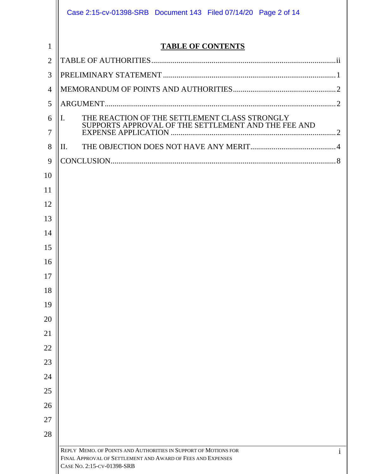|                | Case 2:15-cv-01398-SRB  Document 143  Filed 07/14/20  Page 2 of 14                                                                                                           |
|----------------|------------------------------------------------------------------------------------------------------------------------------------------------------------------------------|
| 1              | <b>TABLE OF CONTENTS</b>                                                                                                                                                     |
| $\overline{2}$ |                                                                                                                                                                              |
| 3              |                                                                                                                                                                              |
| 4              |                                                                                                                                                                              |
| 5              |                                                                                                                                                                              |
| 6<br>7         | THE REACTION OF THE SETTLEMENT CLASS STRONGLY<br>$\mathbf{I}$ .<br>SUPPORTS APPROVAL OF THE SETTLEMENT AND THE FEE AND                                                       |
| 8              | Π.                                                                                                                                                                           |
| 9              |                                                                                                                                                                              |
| 10             |                                                                                                                                                                              |
| 11             |                                                                                                                                                                              |
| 12             |                                                                                                                                                                              |
| 13             |                                                                                                                                                                              |
| 14             |                                                                                                                                                                              |
| 15             |                                                                                                                                                                              |
| 16             |                                                                                                                                                                              |
| 17             |                                                                                                                                                                              |
| 18             |                                                                                                                                                                              |
| 19             |                                                                                                                                                                              |
| 20             |                                                                                                                                                                              |
| 21             |                                                                                                                                                                              |
| 22             |                                                                                                                                                                              |
| 23             |                                                                                                                                                                              |
| 24             |                                                                                                                                                                              |
| 25             |                                                                                                                                                                              |
| 26             |                                                                                                                                                                              |
| 27             |                                                                                                                                                                              |
| 28             |                                                                                                                                                                              |
|                | REPLY MEMO. OF POINTS AND AUTHORITIES IN SUPPORT OF MOTIONS FOR<br>$\mathbf{i}$<br>FINAL APPROVAL OF SETTLEMENT AND AWARD OF FEES AND EXPENSES<br>CASE No. 2:15-CV-01398-SRB |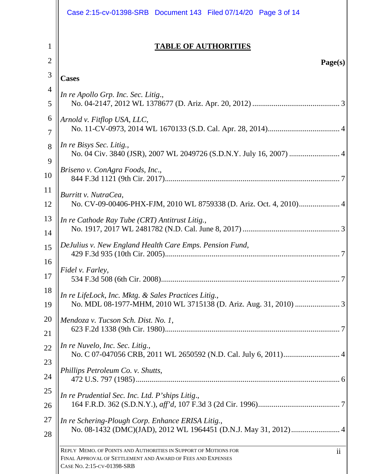|                | Case 2:15-cv-01398-SRB  Document 143  Filed 07/14/20  Page 3 of 14                                                                                                 |
|----------------|--------------------------------------------------------------------------------------------------------------------------------------------------------------------|
| 1              | <b>TABLE OF AUTHORITIES</b>                                                                                                                                        |
| $\overline{2}$ | Page(s)                                                                                                                                                            |
| 3              | <b>Cases</b>                                                                                                                                                       |
| $\overline{4}$ | In re Apollo Grp. Inc. Sec. Litig.,                                                                                                                                |
| 5              |                                                                                                                                                                    |
| 6              | Arnold v. Fitflop USA, LLC,                                                                                                                                        |
| 7              |                                                                                                                                                                    |
| 8              | In re Bisys Sec. Litig.,                                                                                                                                           |
| 9              |                                                                                                                                                                    |
| 10             | Briseno v. ConAgra Foods, Inc.,                                                                                                                                    |
| 11             | Burritt v. NutraCea,                                                                                                                                               |
| 12             |                                                                                                                                                                    |
| 13             | In re Cathode Ray Tube (CRT) Antitrust Litig.,                                                                                                                     |
| 14             |                                                                                                                                                                    |
| 15             | DeJulius v. New England Health Care Emps. Pension Fund,                                                                                                            |
| 16             | Fidel v. Farley,                                                                                                                                                   |
| 17             |                                                                                                                                                                    |
| 18             | In re LifeLock, Inc. Mktg. & Sales Practices Litig.,                                                                                                               |
| 19             |                                                                                                                                                                    |
| 20             | Mendoza v. Tucson Sch. Dist. No. 1,                                                                                                                                |
| 21             |                                                                                                                                                                    |
| 22             | In re Nuvelo, Inc. Sec. Litig.,                                                                                                                                    |
| 23             | Phillips Petroleum Co. v. Shutts,                                                                                                                                  |
| 24             |                                                                                                                                                                    |
| 25             | In re Prudential Sec. Inc. Ltd. P'ships Litig.,                                                                                                                    |
| 26             |                                                                                                                                                                    |
| 27             | In re Schering-Plough Corp. Enhance ERISA Litig.,                                                                                                                  |
| 28             |                                                                                                                                                                    |
|                | REPLY MEMO. OF POINTS AND AUTHORITIES IN SUPPORT OF MOTIONS FOR<br>11<br>FINAL APPROVAL OF SETTLEMENT AND AWARD OF FEES AND EXPENSES<br>CASE No. 2:15-CV-01398-SRB |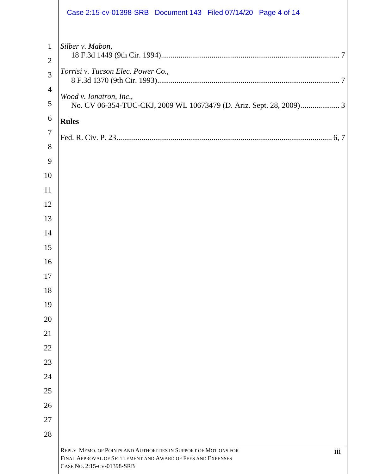|                                | Case 2:15-cv-01398-SRB  Document 143  Filed 07/14/20  Page 4 of 14                        |
|--------------------------------|-------------------------------------------------------------------------------------------|
| $\mathbf{1}$<br>$\overline{2}$ | Silber v. Mabon,                                                                          |
| 3                              | Torrisi v. Tucson Elec. Power Co.,                                                        |
| $\overline{4}$                 |                                                                                           |
| 5                              | Wood v. Ionatron, Inc.,                                                                   |
| 6                              | <b>Rules</b>                                                                              |
| $\overline{7}$                 |                                                                                           |
| 8                              |                                                                                           |
| 9                              |                                                                                           |
| 10                             |                                                                                           |
| 11                             |                                                                                           |
| 12                             |                                                                                           |
| 13                             |                                                                                           |
| 14                             |                                                                                           |
| 15                             |                                                                                           |
| 16<br>17                       |                                                                                           |
| 18                             |                                                                                           |
| 19                             |                                                                                           |
| 20                             |                                                                                           |
| 21                             |                                                                                           |
| 22                             |                                                                                           |
| 23                             |                                                                                           |
| 24                             |                                                                                           |
| 25                             |                                                                                           |
| 26                             |                                                                                           |
| 27                             |                                                                                           |
| 28                             |                                                                                           |
|                                | REPLY MEMO. OF POINTS AND AUTHORITIES IN SUPPORT OF MOTIONS FOR<br>iii                    |
|                                | FINAL APPROVAL OF SETTLEMENT AND AWARD OF FEES AND EXPENSES<br>CASE No. 2:15-CV-01398-SRB |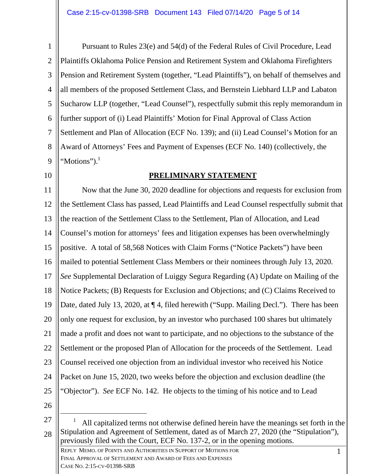1 2 3 4 5 6 7 8 9 Pursuant to Rules 23(e) and 54(d) of the Federal Rules of Civil Procedure, Lead Plaintiffs Oklahoma Police Pension and Retirement System and Oklahoma Firefighters Pension and Retirement System (together, "Lead Plaintiffs"), on behalf of themselves and all members of the proposed Settlement Class, and Bernstein Liebhard LLP and Labaton Sucharow LLP (together, "Lead Counsel"), respectfully submit this reply memorandum in further support of (i) Lead Plaintiffs' Motion for Final Approval of Class Action Settlement and Plan of Allocation (ECF No. 139); and (ii) Lead Counsel's Motion for an Award of Attorneys' Fees and Payment of Expenses (ECF No. 140) (collectively, the "Motions").<sup>1</sup>

10

## **PRELIMINARY STATEMENT**

11 12 13 14 15 16 17 18 19 20 21 22 23 24 25 Now that the June 30, 2020 deadline for objections and requests for exclusion from the Settlement Class has passed, Lead Plaintiffs and Lead Counsel respectfully submit that the reaction of the Settlement Class to the Settlement, Plan of Allocation, and Lead Counsel's motion for attorneys' fees and litigation expenses has been overwhelmingly positive. A total of 58,568 Notices with Claim Forms ("Notice Packets") have been mailed to potential Settlement Class Members or their nominees through July 13, 2020. *See* Supplemental Declaration of Luiggy Segura Regarding (A) Update on Mailing of the Notice Packets; (B) Requests for Exclusion and Objections; and (C) Claims Received to Date, dated July 13, 2020, at  $\P$  4, filed herewith ("Supp. Mailing Decl."). There has been only one request for exclusion, by an investor who purchased 100 shares but ultimately made a profit and does not want to participate, and no objections to the substance of the Settlement or the proposed Plan of Allocation for the proceeds of the Settlement. Lead Counsel received one objection from an individual investor who received his Notice Packet on June 15, 2020, two weeks before the objection and exclusion deadline (the "Objector"). *See* ECF No. 142. He objects to the timing of his notice and to Lead

26

 1 REPLY MEMO. OF POINTS AND AUTHORITIES IN SUPPORT OF MOTIONS FOR 27 28 1 All capitalized terms not otherwise defined herein have the meanings set forth in the Stipulation and Agreement of Settlement, dated as of March 27, 2020 (the "Stipulation"), previously filed with the Court, ECF No. 137-2, or in the opening motions.

FINAL APPROVAL OF SETTLEMENT AND AWARD OF FEES AND EXPENSES CASE NO. 2:15-CV-01398-SRB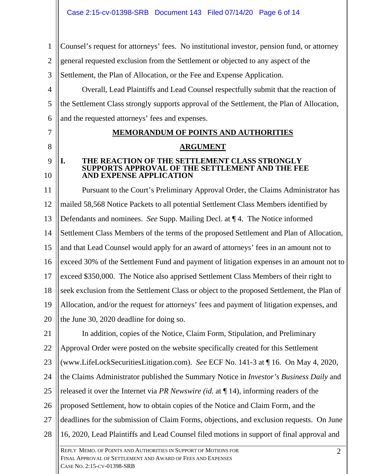1 2 3 4 5 6 7 8 9 10 11 12 13 14 15 16 17 18 19 20 21 22 23 24 25 26 27 28 Counsel's request for attorneys' fees. No institutional investor, pension fund, or attorney general requested exclusion from the Settlement or objected to any aspect of the Settlement, the Plan of Allocation, or the Fee and Expense Application. Overall, Lead Plaintiffs and Lead Counsel respectfully submit that the reaction of the Settlement Class strongly supports approval of the Settlement, the Plan of Allocation, and the requested attorneys' fees and expenses. **MEMORANDUM OF POINTS AND AUTHORITIES ARGUMENT I. THE REACTION OF THE SETTLEMENT CLASS STRONGLY SUPPORTS APPROVAL OF THE SETTLEMENT AND THE FEE AND EXPENSE APPLICATION**  Pursuant to the Court's Preliminary Approval Order, the Claims Administrator has mailed 58,568 Notice Packets to all potential Settlement Class Members identified by Defendants and nominees. *See* Supp. Mailing Decl. at ¶ 4. The Notice informed Settlement Class Members of the terms of the proposed Settlement and Plan of Allocation, and that Lead Counsel would apply for an award of attorneys' fees in an amount not to exceed 30% of the Settlement Fund and payment of litigation expenses in an amount not to exceed \$350,000. The Notice also apprised Settlement Class Members of their right to seek exclusion from the Settlement Class or object to the proposed Settlement, the Plan of Allocation, and/or the request for attorneys' fees and payment of litigation expenses, and the June 30, 2020 deadline for doing so. In addition, copies of the Notice, Claim Form, Stipulation, and Preliminary Approval Order were posted on the website specifically created for this Settlement (www.LifeLockSecuritiesLitigation.com). *See* ECF No. 141-3 at ¶ 16. On May 4, 2020, the Claims Administrator published the Summary Notice in *Investor's Business Daily* and released it over the Internet via *PR Newswire (id.* at ¶ 14), informing readers of the proposed Settlement, how to obtain copies of the Notice and Claim Form, and the deadlines for the submission of Claim Forms, objections, and exclusion requests. On June 16, 2020, Lead Plaintiffs and Lead Counsel filed motions in support of final approval and

 2 REPLY MEMO. OF POINTS AND AUTHORITIES IN SUPPORT OF MOTIONS FOR FINAL APPROVAL OF SETTLEMENT AND AWARD OF FEES AND EXPENSES CASE NO. 2:15-CV-01398-SRB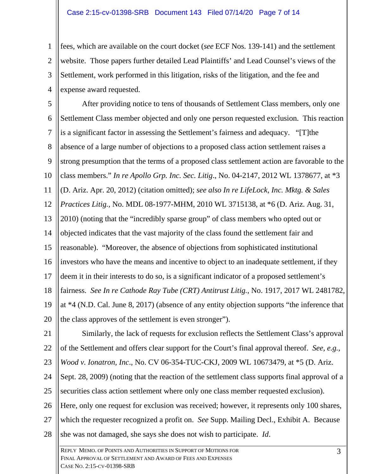1 2 3 4 fees, which are available on the court docket (*see* ECF Nos. 139-141) and the settlement website. Those papers further detailed Lead Plaintiffs' and Lead Counsel's views of the Settlement, work performed in this litigation, risks of the litigation, and the fee and expense award requested.

5 6 7 8 9 10 11 12 13 14 15 16 17 18 19 20 After providing notice to tens of thousands of Settlement Class members, only one Settlement Class member objected and only one person requested exclusion. This reaction is a significant factor in assessing the Settlement's fairness and adequacy. "[T]the absence of a large number of objections to a proposed class action settlement raises a strong presumption that the terms of a proposed class settlement action are favorable to the class members." *In re Apollo Grp. Inc. Sec. Litig*., No. 04-2147, 2012 WL 1378677, at \*3 (D. Ariz. Apr. 20, 2012) (citation omitted); *see also In re LifeLock, Inc. Mktg. & Sales Practices Litig.,* No. MDL 08-1977-MHM, 2010 WL 3715138, at \*6 (D. Ariz. Aug. 31, 2010) (noting that the "incredibly sparse group" of class members who opted out or objected indicates that the vast majority of the class found the settlement fair and reasonable). "Moreover, the absence of objections from sophisticated institutional investors who have the means and incentive to object to an inadequate settlement, if they deem it in their interests to do so, is a significant indicator of a proposed settlement's fairness. *See In re Cathode Ray Tube (CRT) Antitrust Litig.*, No. 1917, 2017 WL 2481782, at \*4 (N.D. Cal. June 8, 2017) (absence of any entity objection supports "the inference that the class approves of the settlement is even stronger").

21 22 23 Similarly, the lack of requests for exclusion reflects the Settlement Class's approval of the Settlement and offers clear support for the Court's final approval thereof. *See, e.g., Wood v. Ionatron, Inc*., No. CV 06-354-TUC-CKJ, 2009 WL 10673479, at \*5 (D. Ariz.

24 25 Sept. 28, 2009) (noting that the reaction of the settlement class supports final approval of a securities class action settlement where only one class member requested exclusion).

26 27 28 Here, only one request for exclusion was received; however, it represents only 100 shares, which the requester recognized a profit on. *See* Supp. Mailing Decl., Exhibit A. Because she was not damaged, she says she does not wish to participate. *Id*.

 3 REPLY MEMO. OF POINTS AND AUTHORITIES IN SUPPORT OF MOTIONS FOR FINAL APPROVAL OF SETTLEMENT AND AWARD OF FEES AND EXPENSES CASE NO. 2:15-CV-01398-SRB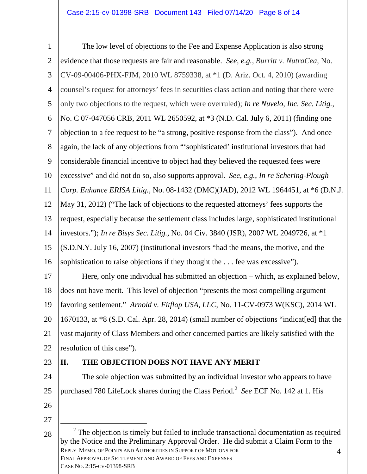4 REPLY MEMO. OF POINTS AND AUTHORITIES IN SUPPORT OF MOTIONS FOR 1 2 3 4 5 6 7 8 9 10 11 12 13 14 15 16 17 18 19 20 21 22 23 24 25 26 27 28 FINAL APPROVAL OF SETTLEMENT AND AWARD OF FEES AND EXPENSES The low level of objections to the Fee and Expense Application is also strong evidence that those requests are fair and reasonable. *See, e.g., Burritt v. NutraCea*, No. CV-09-00406-PHX-FJM, 2010 WL 8759338, at \*1 (D. Ariz. Oct. 4, 2010) (awarding counsel's request for attorneys' fees in securities class action and noting that there were only two objections to the request, which were overruled); *In re Nuvelo, Inc. Sec. Litig.*, No. C 07-047056 CRB, 2011 WL 2650592, at \*3 (N.D. Cal. July 6, 2011) (finding one objection to a fee request to be "a strong, positive response from the class"). And once again, the lack of any objections from "'sophisticated' institutional investors that had considerable financial incentive to object had they believed the requested fees were excessive" and did not do so, also supports approval. *See, e.g.*, *In re Schering-Plough Corp. Enhance ERISA Litig.*, No. 08-1432 (DMC)(JAD), 2012 WL 1964451, at \*6 (D.N.J. May 31, 2012) ("The lack of objections to the requested attorneys' fees supports the request, especially because the settlement class includes large, sophisticated institutional investors."); *In re Bisys Sec. Litig.*, No. 04 Civ. 3840 (JSR), 2007 WL 2049726, at \*1 (S.D.N.Y. July 16, 2007) (institutional investors "had the means, the motive, and the sophistication to raise objections if they thought the . . . fee was excessive"). Here, only one individual has submitted an objection – which, as explained below, does not have merit. This level of objection "presents the most compelling argument favoring settlement." *Arnold v. Fitflop USA, LLC*, No. 11-CV-0973 W(KSC), 2014 WL 1670133, at \*8 (S.D. Cal. Apr. 28, 2014) (small number of objections "indicat[ed] that the vast majority of Class Members and other concerned parties are likely satisfied with the resolution of this case"). **II. THE OBJECTION DOES NOT HAVE ANY MERIT**  The sole objection was submitted by an individual investor who appears to have purchased 780 LifeLock shares during the Class Period.<sup>2</sup> See ECF No. 142 at 1. His 2  $2$  The objection is timely but failed to include transactional documentation as required by the Notice and the Preliminary Approval Order. He did submit a Claim Form to the

CASE NO. 2:15-CV-01398-SRB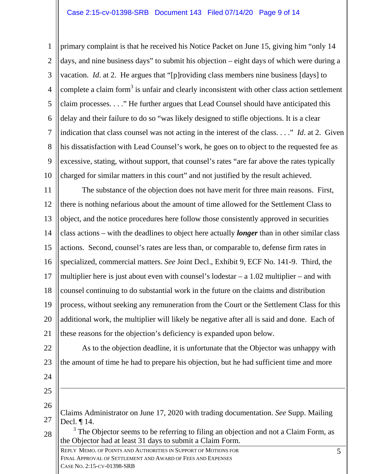1 2 3 4 5 6 7 8 9 10 primary complaint is that he received his Notice Packet on June 15, giving him "only 14 days, and nine business days" to submit his objection – eight days of which were during a vacation. *Id*. at 2. He argues that "[p]roviding class members nine business [days] to complete a claim form<sup>3</sup> is unfair and clearly inconsistent with other class action settlement claim processes. . . ." He further argues that Lead Counsel should have anticipated this delay and their failure to do so "was likely designed to stifle objections. It is a clear indication that class counsel was not acting in the interest of the class. . . ." *Id*. at 2. Given his dissatisfaction with Lead Counsel's work, he goes on to object to the requested fee as excessive, stating, without support, that counsel's rates "are far above the rates typically charged for similar matters in this court" and not justified by the result achieved.

11 12 13 14 15 16 17 18 19 20 21 The substance of the objection does not have merit for three main reasons. First, there is nothing nefarious about the amount of time allowed for the Settlement Class to object, and the notice procedures here follow those consistently approved in securities class actions – with the deadlines to object here actually *longer* than in other similar class actions. Second, counsel's rates are less than, or comparable to, defense firm rates in specialized, commercial matters. *See* Joint Decl., Exhibit 9, ECF No. 141-9. Third, the multiplier here is just about even with counsel's lodestar  $- a 1.02$  multiplier  $- a$  and with counsel continuing to do substantial work in the future on the claims and distribution process, without seeking any remuneration from the Court or the Settlement Class for this additional work, the multiplier will likely be negative after all is said and done. Each of these reasons for the objection's deficiency is expanded upon below.

22 23 As to the objection deadline, it is unfortunate that the Objector was unhappy with the amount of time he had to prepare his objection, but he had sufficient time and more

24 25

 $\overline{a}$ 

28

26 27 Claims Administrator on June 17, 2020 with trading documentation. *See* Supp. Mailing Decl. ¶ 14.

 $3$  The Objector seems to be referring to filing an objection and not a Claim Form, as the Objector had at least 31 days to submit a Claim Form.

 5 REPLY MEMO. OF POINTS AND AUTHORITIES IN SUPPORT OF MOTIONS FOR FINAL APPROVAL OF SETTLEMENT AND AWARD OF FEES AND EXPENSES CASE NO. 2:15-CV-01398-SRB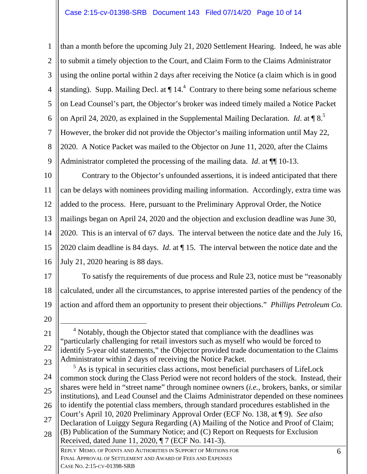6 REPLY MEMO. OF POINTS AND AUTHORITIES IN SUPPORT OF MOTIONS FOR 1 2 3 4 5 6 7 8 9 10 11 12 13 14 15 16 17 18 19 20 21 22 23 24 25 26 27 28 FINAL APPROVAL OF SETTLEMENT AND AWARD OF FEES AND EXPENSES than a month before the upcoming July 21, 2020 Settlement Hearing. Indeed, he was able to submit a timely objection to the Court, and Claim Form to the Claims Administrator using the online portal within 2 days after receiving the Notice (a claim which is in good standing). Supp. Mailing Decl. at  $\P$  14.<sup>4</sup> Contrary to there being some nefarious scheme on Lead Counsel's part, the Objector's broker was indeed timely mailed a Notice Packet on April 24, 2020, as explained in the Supplemental Mailing Declaration. *Id.* at  $\P$ 8.<sup>5</sup> However, the broker did not provide the Objector's mailing information until May 22, 2020. A Notice Packet was mailed to the Objector on June 11, 2020, after the Claims Administrator completed the processing of the mailing data. *Id*. at ¶¶ 10-13. Contrary to the Objector's unfounded assertions, it is indeed anticipated that there can be delays with nominees providing mailing information. Accordingly, extra time was added to the process. Here, pursuant to the Preliminary Approval Order, the Notice mailings began on April 24, 2020 and the objection and exclusion deadline was June 30, 2020. This is an interval of 67 days. The interval between the notice date and the July 16, 2020 claim deadline is 84 days. *Id*. at ¶ 15. The interval between the notice date and the July 21, 2020 hearing is 88 days. To satisfy the requirements of due process and Rule 23, notice must be "reasonably calculated, under all the circumstances, to apprise interested parties of the pendency of the action and afford them an opportunity to present their objections." *Phillips Petroleum Co.*   $\overline{4}$ <sup>4</sup> Notably, though the Objector stated that compliance with the deadlines was "particularly challenging for retail investors such as myself who would be forced to identify 5-year old statements," the Objector provided trade documentation to the Claims Administrator within 2 days of receiving the Notice Packet. <sup>5</sup> As is typical in securities class actions, most beneficial purchasers of LifeLock common stock during the Class Period were not record holders of the stock. Instead, their shares were held in "street name" through nominee owners (*i.e.,* brokers, banks, or similar institutions), and Lead Counsel and the Claims Administrator depended on these nominees to identify the potential class members, through standard procedures established in the Court's April 10, 2020 Preliminary Approval Order (ECF No. 138, at ¶ 9). *See also* Declaration of Luiggy Segura Regarding (A) Mailing of the Notice and Proof of Claim; (B) Publication of the Summary Notice; and (C) Report on Requests for Exclusion Received, dated June 11, 2020, ¶ 7 (ECF No. 141-3).

CASE NO. 2:15-CV-01398-SRB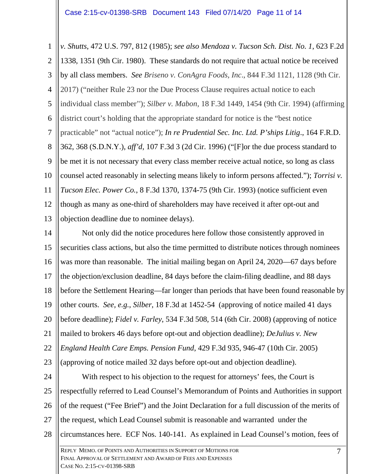1 2 3 4 5 6 7 8 9 10 11 12 13 *v. Shutts*, 472 U.S. 797, 812 (1985); *see also Mendoza v. Tucson Sch. Dist. No. 1*, 623 F.2d 1338, 1351 (9th Cir. 1980). These standards do not require that actual notice be received by all class members. *See Briseno v. ConAgra Foods, Inc*., 844 F.3d 1121, 1128 (9th Cir. 2017) ("neither Rule 23 nor the Due Process Clause requires actual notice to each individual class member''); *Silber v. Mabon*, 18 F.3d 1449, 1454 (9th Cir. 1994) (affirming district court's holding that the appropriate standard for notice is the "best notice practicable" not "actual notice"); *In re Prudential Sec. Inc. Ltd. P'ships Litig*., 164 F.R.D. 362, 368 (S.D.N.Y.), *aff'd*, 107 F.3d 3 (2d Cir. 1996) ("[F]or the due process standard to be met it is not necessary that every class member receive actual notice, so long as class counsel acted reasonably in selecting means likely to inform persons affected."); *Torrisi v. Tucson Elec. Power Co.*, 8 F.3d 1370, 1374-75 (9th Cir. 1993) (notice sufficient even though as many as one-third of shareholders may have received it after opt-out and objection deadline due to nominee delays).

14 15 16 17 18 19 20 21 22 23 Not only did the notice procedures here follow those consistently approved in securities class actions, but also the time permitted to distribute notices through nominees was more than reasonable. The initial mailing began on April 24, 2020—67 days before the objection/exclusion deadline, 84 days before the claim-filing deadline, and 88 days before the Settlement Hearing—far longer than periods that have been found reasonable by other courts. *See, e.g.*, *Silber*, 18 F.3d at 1452-54 (approving of notice mailed 41 days before deadline); *Fidel v. Farley*, 534 F.3d 508, 514 (6th Cir. 2008) (approving of notice mailed to brokers 46 days before opt-out and objection deadline); *DeJulius v. New England Health Care Emps. Pension Fund*, 429 F.3d 935, 946-47 (10th Cir. 2005) (approving of notice mailed 32 days before opt-out and objection deadline).

24 25 26 27 28 With respect to his objection to the request for attorneys' fees, the Court is respectfully referred to Lead Counsel's Memorandum of Points and Authorities in support of the request ("Fee Brief") and the Joint Declaration for a full discussion of the merits of the request, which Lead Counsel submit is reasonable and warranted under the circumstances here. ECF Nos. 140-141. As explained in Lead Counsel's motion, fees of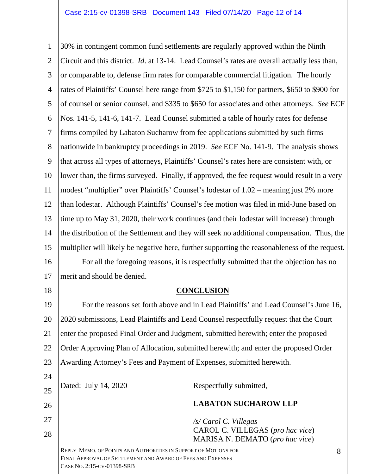1 2 3 4 5 6 7 8 9 10 11 12 13 14 15 16 17 18 30% in contingent common fund settlements are regularly approved within the Ninth Circuit and this district. *Id*. at 13-14. Lead Counsel's rates are overall actually less than, or comparable to, defense firm rates for comparable commercial litigation. The hourly rates of Plaintiffs' Counsel here range from \$725 to \$1,150 for partners, \$650 to \$900 for of counsel or senior counsel, and \$335 to \$650 for associates and other attorneys. *See* ECF Nos. 141-5, 141-6, 141-7. Lead Counsel submitted a table of hourly rates for defense firms compiled by Labaton Sucharow from fee applications submitted by such firms nationwide in bankruptcy proceedings in 2019. *See* ECF No. 141-9. The analysis shows that across all types of attorneys, Plaintiffs' Counsel's rates here are consistent with, or lower than, the firms surveyed. Finally, if approved, the fee request would result in a very modest "multiplier" over Plaintiffs' Counsel's lodestar of 1.02 – meaning just 2% more than lodestar. Although Plaintiffs' Counsel's fee motion was filed in mid-June based on time up to May 31, 2020, their work continues (and their lodestar will increase) through the distribution of the Settlement and they will seek no additional compensation. Thus, the multiplier will likely be negative here, further supporting the reasonableness of the request. For all the foregoing reasons, it is respectfully submitted that the objection has no merit and should be denied.

## **CONCLUSION**

19 20 21 22 23 For the reasons set forth above and in Lead Plaintiffs' and Lead Counsel's June 16, 2020 submissions, Lead Plaintiffs and Lead Counsel respectfully request that the Court enter the proposed Final Order and Judgment, submitted herewith; enter the proposed Order Approving Plan of Allocation, submitted herewith; and enter the proposed Order Awarding Attorney's Fees and Payment of Expenses, submitted herewith.

| 24 |                                                                                                                                |                                                                     |   |
|----|--------------------------------------------------------------------------------------------------------------------------------|---------------------------------------------------------------------|---|
| 25 | Dated: July 14, 2020                                                                                                           | Respectfully submitted,                                             |   |
| 26 |                                                                                                                                | <b>LABATON SUCHAROW LLP</b>                                         |   |
| 27 |                                                                                                                                | $\sqrt{s}$ Carol C. Villegas                                        |   |
| 28 |                                                                                                                                | CAROL C. VILLEGAS (pro hac vice)<br>MARISA N. DEMATO (pro hac vice) |   |
|    | REPLY MEMO. OF POINTS AND AUTHORITIES IN SUPPORT OF MOTIONS FOR<br>FINAL APPROVAL OF SETTLEMENT AND AWARD OF FEES AND EXPENSES |                                                                     | 8 |

CASE NO. 2:15-CV-01398-SRB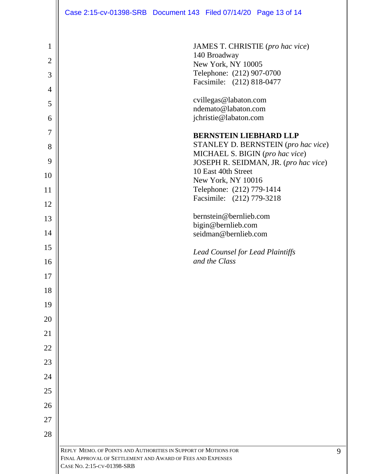|                                     | Case 2:15-cv-01398-SRB Document 143 Filed 07/14/20 Page 13 of 14                                                                                                  |
|-------------------------------------|-------------------------------------------------------------------------------------------------------------------------------------------------------------------|
| $\mathbf{1}$<br>$\overline{2}$<br>3 | JAMES T. CHRISTIE (pro hac vice)<br>140 Broadway<br>New York, NY 10005<br>Telephone: (212) 907-0700                                                               |
| $\overline{4}$                      | Facsimile: (212) 818-0477                                                                                                                                         |
| 5                                   | cvillegas@labaton.com                                                                                                                                             |
| 6                                   | ndemato@labaton.com<br>jchristie@labaton.com                                                                                                                      |
| 7                                   | <b>BERNSTEIN LIEBHARD LLP</b>                                                                                                                                     |
| 8                                   | STANLEY D. BERNSTEIN (pro hac vice)<br>MICHAEL S. BIGIN (pro hac vice)                                                                                            |
| 9                                   | JOSEPH R. SEIDMAN, JR. (pro hac vice)<br>10 East 40th Street                                                                                                      |
| 10                                  | New York, NY 10016                                                                                                                                                |
| 11                                  | Telephone: (212) 779-1414<br>Facsimile: (212) 779-3218                                                                                                            |
| 12<br>13                            | bernstein@bernlieb.com                                                                                                                                            |
|                                     | bigin@bernlieb.com                                                                                                                                                |
| 14                                  | seidman@bernlieb.com                                                                                                                                              |
| 15                                  | <b>Lead Counsel for Lead Plaintiffs</b><br>and the Class                                                                                                          |
| 16<br>17                            |                                                                                                                                                                   |
| 18                                  |                                                                                                                                                                   |
| 19                                  |                                                                                                                                                                   |
| 20                                  |                                                                                                                                                                   |
| 21                                  |                                                                                                                                                                   |
| 22                                  |                                                                                                                                                                   |
| 23                                  |                                                                                                                                                                   |
| 24                                  |                                                                                                                                                                   |
| 25                                  |                                                                                                                                                                   |
| 26                                  |                                                                                                                                                                   |
| 27                                  |                                                                                                                                                                   |
| 28                                  |                                                                                                                                                                   |
|                                     | REPLY MEMO. OF POINTS AND AUTHORITIES IN SUPPORT OF MOTIONS FOR<br>9<br>FINAL APPROVAL OF SETTLEMENT AND AWARD OF FEES AND EXPENSES<br>CASE NO. 2:15-CV-01398-SRB |